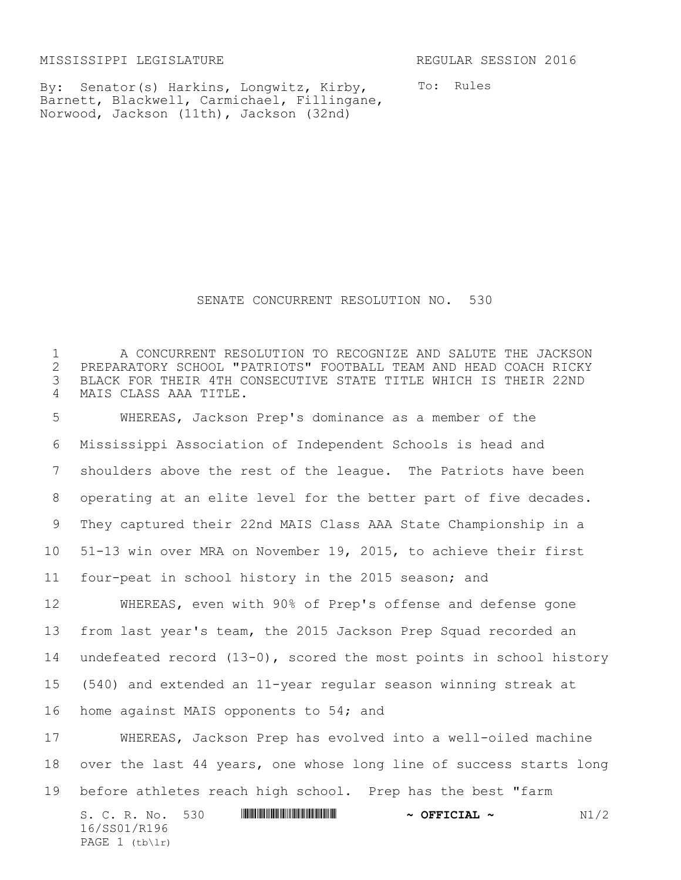MISSISSIPPI LEGISLATURE REGULAR SESSION 2016

PAGE (tb\lr)

By: Senator(s) Harkins, Longwitz, Kirby, Barnett, Blackwell, Carmichael, Fillingane, Norwood, Jackson (11th), Jackson (32nd)

To: Rules

SENATE CONCURRENT RESOLUTION NO. 530

S. C. R. No. 530 **\*\*\* ANIES AND ASSEMBLE TO A PETCIAL ~** N1/2 16/SS01/R196 A CONCURRENT RESOLUTION TO RECOGNIZE AND SALUTE THE JACKSON PREPARATORY SCHOOL "PATRIOTS" FOOTBALL TEAM AND HEAD COACH RICKY BLACK FOR THEIR 4TH CONSECUTIVE STATE TITLE WHICH IS THEIR 22ND MAIS CLASS AAA TITLE. WHEREAS, Jackson Prep's dominance as a member of the Mississippi Association of Independent Schools is head and shoulders above the rest of the league. The Patriots have been operating at an elite level for the better part of five decades. They captured their 22nd MAIS Class AAA State Championship in a 51-13 win over MRA on November 19, 2015, to achieve their first four-peat in school history in the 2015 season; and WHEREAS, even with 90% of Prep's offense and defense gone from last year's team, the 2015 Jackson Prep Squad recorded an undefeated record (13-0), scored the most points in school history (540) and extended an 11-year regular season winning streak at home against MAIS opponents to 54; and WHEREAS, Jackson Prep has evolved into a well-oiled machine over the last 44 years, one whose long line of success starts long before athletes reach high school. Prep has the best "farm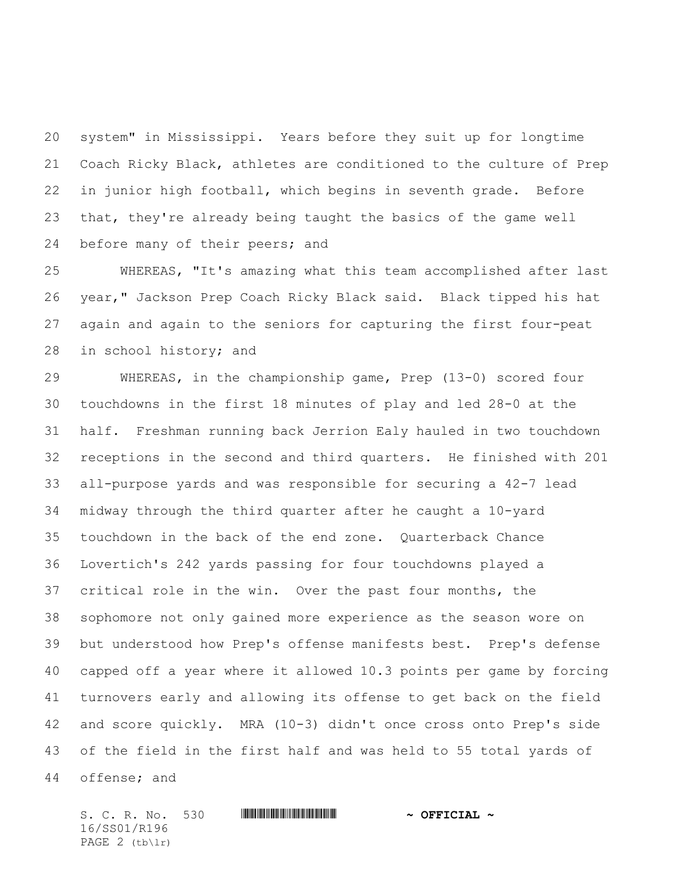system" in Mississippi. Years before they suit up for longtime Coach Ricky Black, athletes are conditioned to the culture of Prep in junior high football, which begins in seventh grade. Before that, they're already being taught the basics of the game well before many of their peers; and

 WHEREAS, "It's amazing what this team accomplished after last year," Jackson Prep Coach Ricky Black said. Black tipped his hat again and again to the seniors for capturing the first four-peat in school history; and

 WHEREAS, in the championship game, Prep (13-0) scored four touchdowns in the first 18 minutes of play and led 28-0 at the half. Freshman running back Jerrion Ealy hauled in two touchdown receptions in the second and third quarters. He finished with 201 all-purpose yards and was responsible for securing a 42-7 lead midway through the third quarter after he caught a 10-yard touchdown in the back of the end zone. Quarterback Chance Lovertich's 242 yards passing for four touchdowns played a critical role in the win. Over the past four months, the sophomore not only gained more experience as the season wore on but understood how Prep's offense manifests best. Prep's defense capped off a year where it allowed 10.3 points per game by forcing turnovers early and allowing its offense to get back on the field and score quickly. MRA (10-3) didn't once cross onto Prep's side of the field in the first half and was held to 55 total yards of offense; and

S. C. R. No. 530 **WILL AND A SEPT CIAL ~** 16/SS01/R196 PAGE 2 (tb\lr)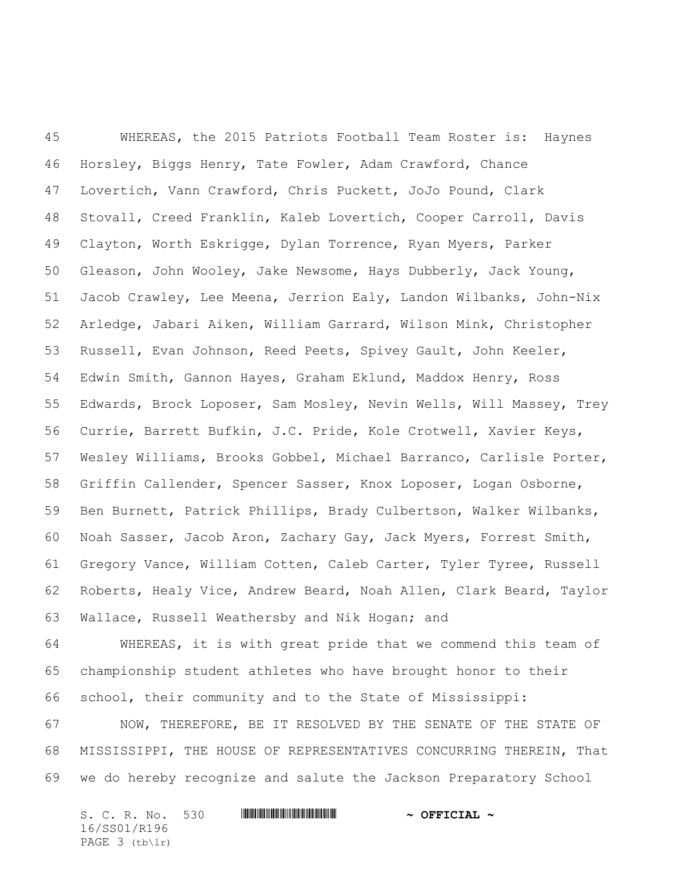WHEREAS, the 2015 Patriots Football Team Roster is: Haynes Horsley, Biggs Henry, Tate Fowler, Adam Crawford, Chance Lovertich, Vann Crawford, Chris Puckett, JoJo Pound, Clark Stovall, Creed Franklin, Kaleb Lovertich, Cooper Carroll, Davis Clayton, Worth Eskrigge, Dylan Torrence, Ryan Myers, Parker Gleason, John Wooley, Jake Newsome, Hays Dubberly, Jack Young, Jacob Crawley, Lee Meena, Jerrion Ealy, Landon Wilbanks, John-Nix Arledge, Jabari Aiken, William Garrard, Wilson Mink, Christopher Russell, Evan Johnson, Reed Peets, Spivey Gault, John Keeler, Edwin Smith, Gannon Hayes, Graham Eklund, Maddox Henry, Ross Edwards, Brock Loposer, Sam Mosley, Nevin Wells, Will Massey, Trey Currie, Barrett Bufkin, J.C. Pride, Kole Crotwell, Xavier Keys, Wesley Williams, Brooks Gobbel, Michael Barranco, Carlisle Porter, Griffin Callender, Spencer Sasser, Knox Loposer, Logan Osborne, Ben Burnett, Patrick Phillips, Brady Culbertson, Walker Wilbanks, Noah Sasser, Jacob Aron, Zachary Gay, Jack Myers, Forrest Smith, Gregory Vance, William Cotten, Caleb Carter, Tyler Tyree, Russell Roberts, Healy Vice, Andrew Beard, Noah Allen, Clark Beard, Taylor Wallace, Russell Weathersby and Nik Hogan; and

 WHEREAS, it is with great pride that we commend this team of championship student athletes who have brought honor to their school, their community and to the State of Mississippi:

 NOW, THEREFORE, BE IT RESOLVED BY THE SENATE OF THE STATE OF MISSISSIPPI, THE HOUSE OF REPRESENTATIVES CONCURRING THEREIN, That we do hereby recognize and salute the Jackson Preparatory School

S. C. R. No. 530 **WILL AND A SEPT CIAL ~** 16/SS01/R196 PAGE 3 (tb\lr)